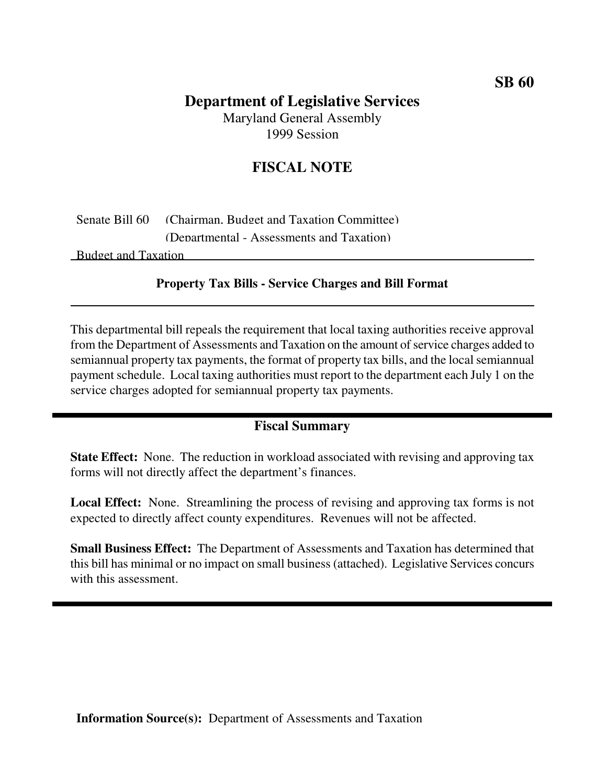## **Department of Legislative Services**

Maryland General Assembly 1999 Session

## **FISCAL NOTE**

Senate Bill 60 (Chairman, Budget and Taxation Committee) (Departmental - Assessments and Taxation)

Budget and Taxation

## **Property Tax Bills - Service Charges and Bill Format**

This departmental bill repeals the requirement that local taxing authorities receive approval from the Department of Assessments and Taxation on the amount of service charges added to semiannual property tax payments, the format of property tax bills, and the local semiannual payment schedule. Local taxing authorities must report to the department each July 1 on the service charges adopted for semiannual property tax payments.

## **Fiscal Summary**

**State Effect:** None. The reduction in workload associated with revising and approving tax forms will not directly affect the department's finances.

**Local Effect:** None. Streamlining the process of revising and approving tax forms is not expected to directly affect county expenditures. Revenues will not be affected.

**Small Business Effect:** The Department of Assessments and Taxation has determined that this bill has minimal or no impact on small business(attached). Legislative Services concurs with this assessment.